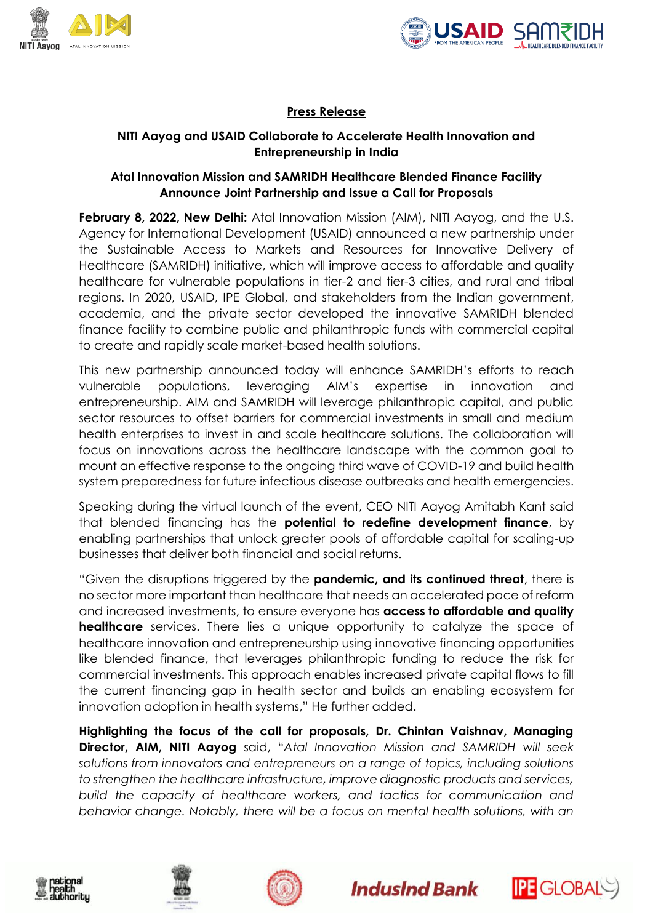



# **Press Release**

# **NITI Aayog and USAID Collaborate to Accelerate Health Innovation and Entrepreneurship in India**

## **Atal Innovation Mission and SAMRIDH Healthcare Blended Finance Facility Announce Joint Partnership and Issue a Call for Proposals**

**February 8, 2022, New Delhi:** Atal Innovation Mission (AIM), NITI Aayog, and the U.S. Agency for International Development (USAID) announced a new partnership under the Sustainable Access to Markets and Resources for Innovative Delivery of Healthcare (SAMRIDH) initiative, which will improve access to affordable and quality healthcare for vulnerable populations in tier-2 and tier-3 cities, and rural and tribal regions. In 2020, USAID, IPE Global, and stakeholders from the Indian government, academia, and the private sector developed the innovative SAMRIDH blended finance facility to combine public and philanthropic funds with commercial capital to create and rapidly scale market-based health solutions.

This new partnership announced today will enhance SAMRIDH's efforts to reach vulnerable populations, leveraging AIM's expertise in innovation and entrepreneurship. AIM and SAMRIDH will leverage philanthropic capital, and public sector resources to offset barriers for commercial investments in small and medium health enterprises to invest in and scale healthcare solutions. The collaboration will focus on innovations across the healthcare landscape with the common goal to mount an effective response to the ongoing third wave of COVID-19 and build health system preparedness for future infectious disease outbreaks and health emergencies.

Speaking during the virtual launch of the event, CEO NITI Aayog Amitabh Kant said that blended financing has the **potential to redefine development finance**, by enabling partnerships that unlock greater pools of affordable capital for scaling-up businesses that deliver both financial and social returns.

"Given the disruptions triggered by the **pandemic, and its continued threat**, there is no sector more important than healthcare that needs an accelerated pace of reform and increased investments, to ensure everyone has **access to affordable and quality healthcare** services. There lies a unique opportunity to catalyze the space of healthcare innovation and entrepreneurship using innovative financing opportunities like blended finance, that leverages philanthropic funding to reduce the risk for commercial investments. This approach enables increased private capital flows to fill the current financing gap in health sector and builds an enabling ecosystem for innovation adoption in health systems," He further added.

**Highlighting the focus of the call for proposals, Dr. Chintan Vaishnav, Managing Director, AIM, NITI Aayog** said, "*Atal Innovation Mission and SAMRIDH will seek solutions from innovators and entrepreneurs on a range of topics, including solutions to strengthen the healthcare infrastructure, improve diagnostic products and services, build the capacity of healthcare workers, and tactics for communication and behavior change. Notably, there will be a focus on mental health solutions, with an* 









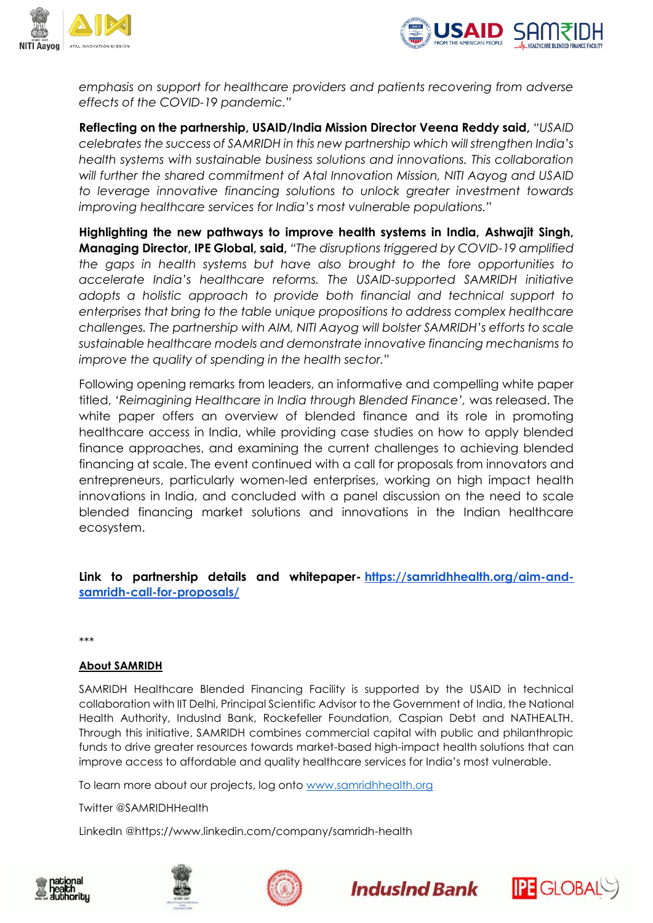



*emphasis on support for healthcare providers and patients recovering from adverse effects of the COVID-19 pandemic."*

**Reflecting on the partnership, USAID/India Mission Director Veena Reddy said,** *"USAID celebrates the success of SAMRIDH in this new partnership which will strengthen India's health systems with sustainable business solutions and innovations. This collaboration*  will further the shared commitment of Atal Innovation Mission, NITI Aayog and USAID *to leverage innovative financing solutions to unlock greater investment towards improving healthcare services for India's most vulnerable populations."*

**Highlighting the new pathways to improve health systems in India, Ashwajit Singh, Managing Director, IPE Global, said,** *"The disruptions triggered by COVID-19 amplified the gaps in health systems but have also brought to the fore opportunities to accelerate India's healthcare reforms. The USAID-supported SAMRIDH initiative adopts a holistic approach to provide both financial and technical support to enterprises that bring to the table unique propositions to address complex healthcare challenges. The partnership with AIM, NITI Aayog will bolster SAMRIDH's efforts to scale sustainable healthcare models and demonstrate innovative financing mechanisms to improve the quality of spending in the health sector."*

Following opening remarks from leaders, an informative and compelling white paper titled, *'Reimagining Healthcare in India through Blended Finance',* was released. The white paper offers an overview of blended finance and its role in promoting healthcare access in India, while providing case studies on how to apply blended finance approaches, and examining the current challenges to achieving blended financing at scale. The event continued with a call for proposals from innovators and entrepreneurs, particularly women-led enterprises, working on high impact health innovations in India, and concluded with a panel discussion on the need to scale blended financing market solutions and innovations in the Indian healthcare ecosystem.

**Link to partnership details and whitepaper- [https://samridhhealth.org/aim-and](https://samridhhealth.org/aim-and-samridh-call-for-proposals/)[samridh-call-for-proposals/](https://samridhhealth.org/aim-and-samridh-call-for-proposals/)**

\*\*\*

#### **About SAMRIDH**

SAMRIDH Healthcare Blended Financing Facility is supported by the USAID in technical collaboration with IIT Delhi, Principal Scientific Advisor to the Government of India, the National Health Authority, IndusInd Bank, Rockefeller Foundation, Caspian Debt and NATHEALTH. Through this initiative, SAMRIDH combines commercial capital with public and philanthropic funds to drive greater resources towards market-based high-impact health solutions that can improve access to affordable and quality healthcare services for India's most vulnerable.

To learn more about our projects, log onto [www.samridhhealth.org](http://www.samridhhealth.org/)

Twitter @SAMRIDHHealth

LinkedIn @https://www.linkedin.com/company/samridh-health